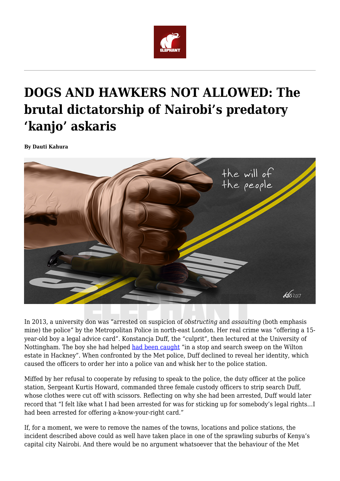

## **DOGS AND HAWKERS NOT ALLOWED: The brutal dictatorship of Nairobi's predatory 'kanjo' askaris**

**By Dauti Kahura**



In 2013, a university don was "arrested on suspicion of *obstructing* and *assaulting* (both emphasis mine) the police" by the Metropolitan Police in north-east London. Her real crime was "offering a 15 year-old boy a legal advice card". Konstancja Duff, the "culprit", then lectured at the University of Nottingham. The boy she had helped [had been caught](https://www.theguardian.com/uk-news/2018/aug/23/met-custody-sergeant-faces-possible-dismissal-over-2013-strip-search-of-academic) "in a stop and search sweep on the Wilton estate in Hackney". When confronted by the Met police, Duff declined to reveal her identity, which caused the officers to order her into a police van and whisk her to the police station.

Miffed by her refusal to cooperate by refusing to speak to the police, the duty officer at the police station, Sergeant Kurtis Howard, commanded three female custody officers to strip search Duff, whose clothes were cut off with scissors. Reflecting on why she had been arrested, Duff would later record that "I felt like what I had been arrested for was for sticking up for somebody's legal rights…I had been arrested for offering a-know-your-right card."

If, for a moment, we were to remove the names of the towns, locations and police stations, the incident described above could as well have taken place in one of the sprawling suburbs of Kenya's capital city Nairobi. And there would be no argument whatsoever that the behaviour of the Met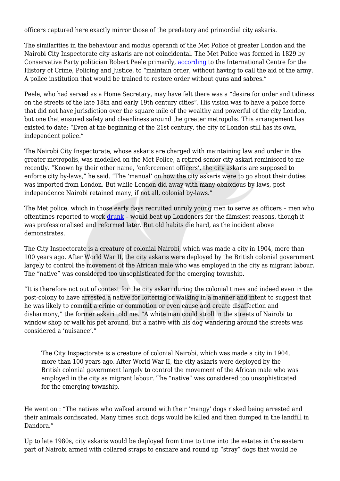officers captured here exactly mirror those of the predatory and primordial city askaris.

The similarities in the behaviour and modus operandi of the Met Police of greater London and the Nairobi City Inspectorate city askaris are not coincidental. The Met Police was formed in 1829 by Conservative Party politician Robert Peele primarily, [according](https://www.open.ac.uk/Arts/history-from-police-archives/Met6Kt/MetHistory/mhFormMetPol.html) to the International Centre for the History of Crime, Policing and Justice, to "maintain order, without having to call the aid of the army. A police institution that would be trained to restore order without guns and sabres."

Peele, who had served as a Home Secretary, may have felt there was a "desire for order and tidiness on the streets of the late 18th and early 19th century cities". His vision was to have a police force that did not have jurisdiction over the square mile of the wealthy and powerful of the city London, but one that ensured safety and cleanliness around the greater metropolis. This arrangement has existed to date: "Even at the beginning of the 21st century, the city of London still has its own, independent police."

The Nairobi City Inspectorate, whose askaris are charged with maintaining law and order in the greater metropolis, was modelled on the Met Police, a retired senior city askari reminisced to me recently. "Known by their other name, 'enforcement officers', the city askaris are supposed to enforce city by-laws," he said. "The 'manual' on how the city askaris were to go about their duties was imported from London. But while London did away with many obnoxious by-laws, postindependence Nairobi retained many, if not all, colonial by-laws."

The Met police, which in those early days recruited unruly young men to serve as officers – men who oftentimes reported to work [drunk](https://www.telegraph.co.uk/only-in-britain/the-early-days-of-the-metropolitan-police/) – would beat up Londoners for the flimsiest reasons, though it was professionalised and reformed later. But old habits die hard, as the incident above demonstrates.

The City Inspectorate is a creature of colonial Nairobi, which was made a city in 1904, more than 100 years ago. After World War II, the city askaris were deployed by the British colonial government largely to control the movement of the African male who was employed in the city as migrant labour. The "native" was considered too unsophisticated for the emerging township.

"It is therefore not out of context for the city askari during the colonial times and indeed even in the post-colony to have arrested a native for loitering or walking in a manner and intent to suggest that he was likely to commit a crime or commotion or even cause and create disaffection and disharmony," the former askari told me. "A white man could stroll in the streets of Nairobi to window shop or walk his pet around, but a native with his dog wandering around the streets was considered a 'nuisance'."

The City Inspectorate is a creature of colonial Nairobi, which was made a city in 1904, more than 100 years ago. After World War II, the city askaris were deployed by the British colonial government largely to control the movement of the African male who was employed in the city as migrant labour. The "native" was considered too unsophisticated for the emerging township.

He went on : "The natives who walked around with their 'mangy' dogs risked being arrested and their animals confiscated. Many times such dogs would be killed and then dumped in the landfill in Dandora."

Up to late 1980s, city askaris would be deployed from time to time into the estates in the eastern part of Nairobi armed with collared straps to ensnare and round up "stray" dogs that would be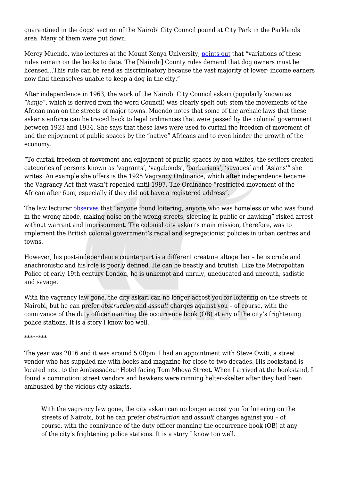quarantined in the dogs' section of the Nairobi City Council pound at City Park in the Parklands area. Many of them were put down.

Mercy Muendo, who lectures at the Mount Kenya University, [points out](https://theconversation.com/kenyans-are-still-oppressed-by-archaic-colonial-laws-73880) that "variations of these rules remain on the books to date. The [Nairobi] County rules demand that dog owners must be licensed…This rule can be read as discriminatory because the vast majority of lower- income earners now find themselves unable to keep a dog in the city."

After independence in 1963, the work of the Nairobi City Council askari (popularly known as *"kanjo",* which is derived from the word Council) was clearly spelt out: stem the movements of the African man on the streets of major towns. Muendo notes that some of the archaic laws that these askaris enforce can be traced back to legal ordinances that were passed by the colonial government between 1923 and 1934. She says that these laws were used to curtail the freedom of movement of and the enjoyment of public spaces by the "native" Africans and to even hinder the growth of the economy.

"To curtail freedom of movement and enjoyment of public spaces by non-whites, the settlers created categories of persons known as 'vagrants', 'vagabonds', 'barbarians', 'savages' and 'Asians'" she writes. An example she offers is the 1925 Vagrancy Ordinance, which after independence became the Vagrancy Act that wasn't repealed until 1997. The Ordinance "restricted movement of the African after 6pm, especially if they did not have a registered address".

The law lecturer [observes](https://theconversation.com/kenyans-are-still-oppressed-by-archaic-colonial-laws-73880) that "anyone found loitering, anyone who was homeless or who was found in the wrong abode, making noise on the wrong streets, sleeping in public or hawking" risked arrest without warrant and imprisonment. The colonial city askari's main mission, therefore, was to implement the British colonial government's racial and segregationist policies in urban centres and towns.

However, his post-independence counterpart is a different creature altogether – he is crude and anachronistic and his role is poorly defined. He can be beastly and brutish. Like the Metropolitan Police of early 19th century London, he is unkempt and unruly, uneducated and uncouth, sadistic and savage.

With the vagrancy law gone, the city askari can no longer accost you for loitering on the streets of Nairobi, but he can prefer *obstruction* and *assault* charges against you – of course, with the connivance of the duty officer manning the occurrence book (OB) at any of the city's frightening police stations. It is a story I know too well.

## \*\*\*\*\*\*\*\*

The year was 2016 and it was around 5.00pm. I had an appointment with Steve Owiti, a street vendor who has supplied me with books and magazine for close to two decades. His bookstand is located next to the Ambassadeur Hotel facing Tom Mboya Street. When I arrived at the bookstand, I found a commotion: street vendors and hawkers were running helter-skelter after they had been ambushed by the vicious city askaris.

With the vagrancy law gone, the city askari can no longer accost you for loitering on the streets of Nairobi, but he can prefer *obstruction* and *assault* charges against you – of course, with the connivance of the duty officer manning the occurrence book (OB) at any of the city's frightening police stations. It is a story I know too well.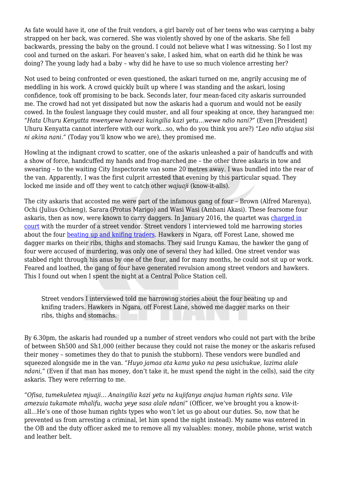As fate would have it, one of the fruit vendors, a girl barely out of her teens who was carrying a baby strapped on her back, was cornered. She was violently shoved by one of the askaris. She fell backwards, pressing the baby on the ground. I could not believe what I was witnessing. So I lost my cool and turned on the askari. For heaven's sake, I asked him, what on earth did he think he was doing? The young lady had a baby – why did he have to use so much violence arresting her?

Not used to being confronted or even questioned, the askari turned on me, angrily accusing me of meddling in his work. A crowd quickly built up where I was standing and the askari, losing confidence, took off promising to be back. Seconds later, four mean-faced city askaris surrounded me. The crowd had not yet dissipated but now the askaris had a quorum and would not be easily cowed. In the foulest language they could muster, and all four speaking at once, they harangued me: *"Hata Uhuru Kenyatta mwenyewe hawezi kuingilia kazi yetu…wewe ndio nani?"* (Even [President] Uhuru Kenyatta cannot interfere with our work…so, who do you think you are?) *"Leo ndio utajua sisi ni akina nani."* (Today you'll know who we are), they promised me.

Howling at the indignant crowd to scatter, one of the askaris unleashed a pair of handcuffs and with a show of force, handcuffed my hands and frog-marched me – the other three askaris in tow and swearing – to the waiting City Inspectorate van some 20 metres away. I was bundled into the rear of the van. Apparently, I was the first culprit arrested that evening by this particular squad. They locked me inside and off they went to catch other *wajuaji* (know-it-alls).

The city askaris that accosted me were part of the infamous gang of four – Brown (Alfred Marenya), Ochi (Julius Ochieng), Sarara (Protus Marigo) and Wasi Wasi (Ambani Akasi). These fearsome four askaris, then as now, were known to carry daggers. In January 2016, the quartet was [charged in](https://nairobinews.nation.co.ke/news/fourth-county-askari-charged-with-murder-of-hawker/) [court](https://nairobinews.nation.co.ke/news/fourth-county-askari-charged-with-murder-of-hawker/) with the murder of a street vendor. Street vendors I interviewed told me harrowing stories about the four [beating up and knifing traders.](https://www.theelephant.info/videos/2018/08/14/kanjo-kingdom-part-1/) Hawkers in Ngara, off Forest Lane, showed me dagger marks on their ribs, thighs and stomachs. They said Irungu Kamau, the hawker the gang of four were accused of murdering, was only one of several they had killed. One street vendor was stabbed right through his anus by one of the four, and for many months, he could not sit up or work. Feared and loathed, the gang of four have generated revulsion among street vendors and hawkers. This I found out when I spent the night at a Central Police Station cell.

Street vendors I interviewed told me harrowing stories about the four beating up and knifing traders. Hawkers in Ngara, off Forest Lane, showed me dagger marks on their ribs, thighs and stomachs.

By 6.30pm, the askaris had rounded up a number of street vendors who could not part with the bribe of between Sh500 and Sh1,000 (either because they could not raise the money or the askaris refused their money – sometimes they do that to punish the stubborn). These vendors were bundled and squeezed alongside me in the van. *"Huyo jamaa ata kama yuko na pesa usichukue, lazima alale ndani,"* (Even if that man has money, don't take it, he must spend the night in the cells), said the city askaris. They were referring to me.

*"Ofisa, tumekuletea mjuaji… Anaingilia kazi yetu na kujifanya anajua human rights sana. Vile amezuia tukamate mhalifu, wacha yeye sasa alale ndani"* (Officer, we've brought you a know-itall…He's one of those human rights types who won't let us go about our duties. So, now that he prevented us from arresting a criminal, let him spend the night instead). My name was entered in the OB and the duty officer asked me to remove all my valuables: money, mobile phone, wrist watch and leather belt.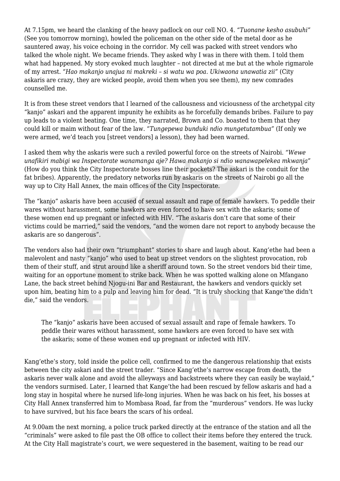At 7.15pm, we heard the clanking of the heavy padlock on our cell NO. 4. *"Tuonane kesho asubuhi"* (See you tomorrow morning), howled the policeman on the other side of the metal door as he sauntered away, his voice echoing in the corridor. My cell was packed with street vendors who talked the whole night. We became friends. They asked why I was in there with them. I told them what had happened. My story evoked much laughter – not directed at me but at the whole rigmarole of my arrest. *"Hao makanjo unajua ni makreki – si watu wa poa. Ukiwaona unawatia zii"* (City askaris are crazy, they are wicked people, avoid them when you see them), my new comrades counselled me.

It is from these street vendors that I learned of the callousness and viciousness of the archetypal city "kanjo" askari and the apparent impunity he exhibits as he forcefully demands bribes. Failure to pay up leads to a violent beating. One time, they narrated, Brown and Co. boasted to them that they could kill or maim without fear of the law. *"Tungepewa bunduki ndio mungetutambua"* (If only we were armed, we'd teach you [street vendors] a lesson), they had been warned.

I asked them why the askaris were such a reviled powerful force on the streets of Nairobi. *"Wewe unafikiri mabigi wa Inspectorate wanamanga aje? Hawa makanjo si ndio wanawapelekea mkwanja"* (How do you think the City Inspectorate bosses line their pockets? The askari is the conduit for the fat bribes). Apparently, the predatory networks run by askaris on the streets of Nairobi go all the way up to City Hall Annex, the main offices of the City Inspectorate.

The "kanjo" askaris have been accused of sexual assault and rape of female hawkers. To peddle their wares without harassment, some hawkers are even forced to have sex with the askaris; some of these women end up pregnant or infected with HIV. "The askaris don't care that some of their victims could be married," said the vendors, "and the women dare not report to anybody because the askaris are so dangerous".

The vendors also had their own "triumphant" stories to share and laugh about. Kang'ethe had been a malevolent and nasty "kanjo" who used to beat up street vendors on the slightest provocation, rob them of their stuff, and strut around like a sheriff around town. So the street vendors bid their time, waiting for an opportune moment to strike back. When he was spotted walking alone on Mfangano Lane, the back street behind Njogu-ini Bar and Restaurant, the hawkers and vendors quickly set upon him, beating him to a pulp and leaving him for dead. "It is truly shocking that Kange'the didn't die," said the vendors.

The "kanjo" askaris have been accused of sexual assault and rape of female hawkers. To peddle their wares without harassment, some hawkers are even forced to have sex with the askaris; some of these women end up pregnant or infected with HIV.

Kang'ethe's story, told inside the police cell, confirmed to me the dangerous relationship that exists between the city askari and the street trader. "Since Kang'ethe's narrow escape from death, the askaris never walk alone and avoid the alleyways and backstreets where they can easily be waylaid," the vendors surmised. Later, I learned that Kange'the had been rescued by fellow askaris and had a long stay in hospital where he nursed life-long injuries. When he was back on his feet, his bosses at City Hall Annex transferred him to Mombasa Road, far from the "murderous" vendors. He was lucky to have survived, but his face bears the scars of his ordeal.

At 9.00am the next morning, a police truck parked directly at the entrance of the station and all the "criminals" were asked to file past the OB office to collect their items before they entered the truck. At the City Hall magistrate's court, we were sequestered in the basement, waiting to be read our